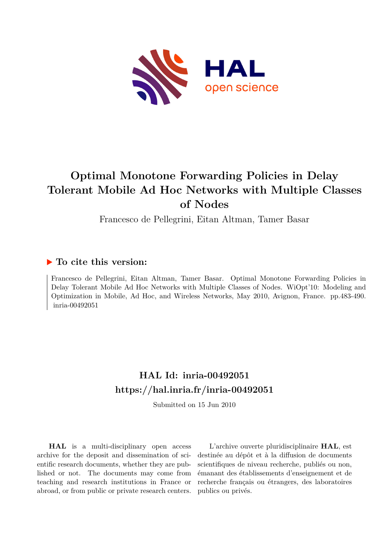

## **Optimal Monotone Forwarding Policies in Delay Tolerant Mobile Ad Hoc Networks with Multiple Classes of Nodes**

Francesco de Pellegrini, Eitan Altman, Tamer Basar

### **To cite this version:**

Francesco de Pellegrini, Eitan Altman, Tamer Basar. Optimal Monotone Forwarding Policies in Delay Tolerant Mobile Ad Hoc Networks with Multiple Classes of Nodes. WiOpt'10: Modeling and Optimization in Mobile, Ad Hoc, and Wireless Networks, May 2010, Avignon, France. pp.483-490.  $inria-00492051$ 

## **HAL Id: inria-00492051 <https://hal.inria.fr/inria-00492051>**

Submitted on 15 Jun 2010

**HAL** is a multi-disciplinary open access archive for the deposit and dissemination of scientific research documents, whether they are published or not. The documents may come from teaching and research institutions in France or abroad, or from public or private research centers.

L'archive ouverte pluridisciplinaire **HAL**, est destinée au dépôt et à la diffusion de documents scientifiques de niveau recherche, publiés ou non, émanant des établissements d'enseignement et de recherche français ou étrangers, des laboratoires publics ou privés.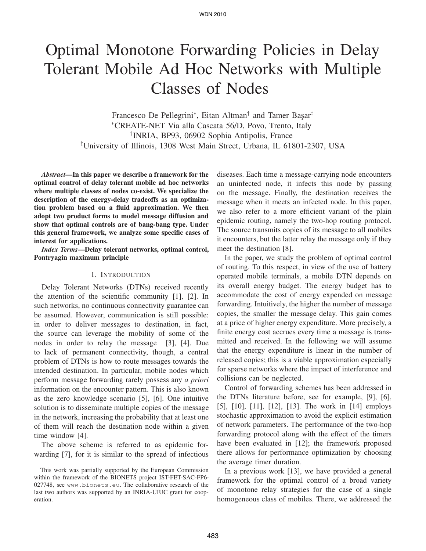# Optimal Monotone Forwarding Policies in Delay Tolerant Mobile Ad Hoc Networks with Multiple Classes of Nodes

Francesco De Pellegrini<sup>∗</sup>, Eitan Altman<sup>†</sup> and Tamer Basar<sup>‡</sup> <sup>∗</sup>CREATE-NET Via alla Cascata 56/D, Povo, Trento, Italy † INRIA, BP93, 06902 Sophia Antipolis, France ‡ University of Illinois, 1308 West Main Street, Urbana, IL 61801-2307, USA

*Abstract***—In this paper we describe a framework for the optimal control of delay tolerant mobile ad hoc networks where multiple classes of nodes co-exist. We specialize the description of the energy-delay tradeoffs as an optimization problem based on a fluid approximation. We then adopt two product forms to model message diffusion and show that optimal controls are of bang-bang type. Under this general framework, we analyze some specific cases of interest for applications.**

*Index Terms***—Delay tolerant networks, optimal control, Pontryagin maximum principle**

#### I. INTRODUCTION

Delay Tolerant Networks (DTNs) received recently the attention of the scientific community [1], [2]. In such networks, no continuous connectivity guarantee can be assumed. However, communication is still possible: in order to deliver messages to destination, in fact, the source can leverage the mobility of some of the nodes in order to relay the message [3], [4]. Due to lack of permanent connectivity, though, a central problem of DTNs is how to route messages towards the intended destination. In particular, mobile nodes which perform message forwarding rarely possess any *a priori* information on the encounter pattern. This is also known as the zero knowledge scenario [5], [6]. One intuitive solution is to disseminate multiple copies of the message in the network, increasing the probability that at least one of them will reach the destination node within a given time window [4].

The above scheme is referred to as epidemic forwarding [7], for it is similar to the spread of infectious

This work was partially supported by the European Commission within the framework of the BIONETS project IST-FET-SAC-FP6- 027748, see www.bionets.eu. The collaborative research of the last two authors was supported by an INRIA-UIUC grant for cooperation.

diseases. Each time a message-carrying node encounters an uninfected node, it infects this node by passing on the message. Finally, the destination receives the message when it meets an infected node. In this paper, we also refer to a more efficient variant of the plain epidemic routing, namely the two-hop routing protocol. The source transmits copies of its message to all mobiles it encounters, but the latter relay the message only if they meet the destination [8].

In the paper, we study the problem of optimal control of routing. To this respect, in view of the use of battery operated mobile terminals, a mobile DTN depends on its overall energy budget. The energy budget has to accommodate the cost of energy expended on message forwarding. Intuitively, the higher the number of message copies, the smaller the message delay. This gain comes at a price of higher energy expenditure. More precisely, a finite energy cost accrues every time a message is transmitted and received. In the following we will assume that the energy expenditure is linear in the number of released copies; this is a viable approximation especially for sparse networks where the impact of interference and collisions can be neglected.

Control of forwarding schemes has been addressed in the DTNs literature before, see for example, [9], [6], [5], [10], [11], [12], [13]. The work in [14] employs stochastic approximation to avoid the explicit estimation of network parameters. The performance of the two-hop forwarding protocol along with the effect of the timers have been evaluated in [12]; the framework proposed there allows for performance optimization by choosing the average timer duration.

In a previous work [13], we have provided a general framework for the optimal control of a broad variety of monotone relay strategies for the case of a single homogeneous class of mobiles. There, we addressed the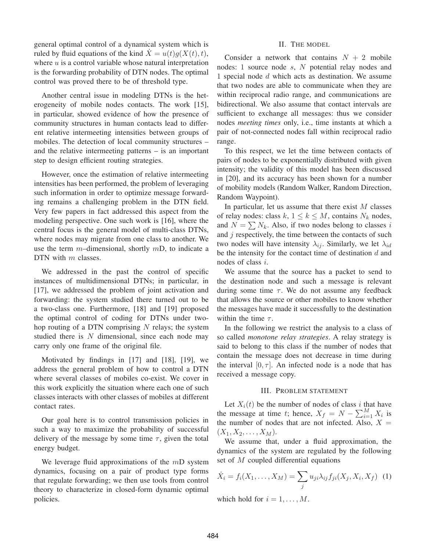general optimal control of a dynamical system which is ruled by fluid equations of the kind  $\dot{X} = u(t)g(X(t), t)$ , where  $u$  is a control variable whose natural interpretation is the forwarding probability of DTN nodes. The optimal control was proved there to be of threshold type.

Another central issue in modeling DTNs is the heterogeneity of mobile nodes contacts. The work [15], in particular, showed evidence of how the presence of community structures in human contacts lead to different relative intermeeting intensities between groups of mobiles. The detection of local community structures – and the relative intermeeting patterns – is an important step to design efficient routing strategies.

However, once the estimation of relative intermeeting intensities has been performed, the problem of leveraging such information in order to optimize message forwarding remains a challenging problem in the DTN field. Very few papers in fact addressed this aspect from the modeling perspective. One such work is [16], where the central focus is the general model of multi-class DTNs, where nodes may migrate from one class to another. We use the term  $m$ –dimensional, shortly  $mD$ , to indicate a DTN with m classes.

We addressed in the past the control of specific instances of multidimensional DTNs; in particular, in [17], we addressed the problem of joint activation and forwarding: the system studied there turned out to be a two-class one. Furthermore, [18] and [19] proposed the optimal control of coding for DTNs under twohop routing of a DTN comprising  $N$  relays; the system studied there is  $N$  dimensional, since each node may carry only one frame of the original file.

Motivated by findings in [17] and [18], [19], we address the general problem of how to control a DTN where several classes of mobiles co-exist. We cover in this work explicitly the situation where each one of such classes interacts with other classes of mobiles at different contact rates.

Our goal here is to control transmission policies in such a way to maximize the probability of successful delivery of the message by some time  $\tau$ , given the total energy budget.

We leverage fluid approximations of the  $mD$  system dynamics, focusing on a pair of product type forms that regulate forwarding; we then use tools from control theory to characterize in closed-form dynamic optimal policies.

#### II. THE MODEL

Consider a network that contains  $N + 2$  mobile nodes: 1 source node s, N potential relay nodes and 1 special node d which acts as destination. We assume that two nodes are able to communicate when they are within reciprocal radio range, and communications are bidirectional. We also assume that contact intervals are sufficient to exchange all messages: thus we consider nodes *meeting times* only, i.e., time instants at which a pair of not-connected nodes fall within reciprocal radio range.

To this respect, we let the time between contacts of pairs of nodes to be exponentially distributed with given intensity; the validity of this model has been discussed in [20], and its accuracy has been shown for a number of mobility models (Random Walker, Random Direction, Random Waypoint).

In particular, let us assume that there exist  $M$  classes of relay nodes: class k,  $1 \le k \le M$ , contains  $N_k$  nodes, and  $N = \sum N_k$ . Also, if two nodes belong to classes i and  $j$  respectively, the time between the contacts of such two nodes will have intensity  $\lambda_{ij}$ . Similarly, we let  $\lambda_{id}$ be the intensity for the contact time of destination  $d$  and nodes of class i.

We assume that the source has a packet to send to the destination node and such a message is relevant during some time  $\tau$ . We do not assume any feedback that allows the source or other mobiles to know whether the messages have made it successfully to the destination within the time  $\tau$ .

In the following we restrict the analysis to a class of so called *monotone relay strategies*. A relay strategy is said to belong to this class if the number of nodes that contain the message does not decrease in time during the interval  $[0, \tau]$ . An infected node is a node that has received a message copy.

#### III. PROBLEM STATEMENT

Let  $X_i(t)$  be the number of nodes of class i that have the message at time t; hence,  $X_f = N - \sum_{i=1}^{M} X_i$  is the number of nodes that are not infected. Also,  $X =$  $(X_1, X_2, \ldots, X_M).$ 

We assume that, under a fluid approximation, the dynamics of the system are regulated by the following set of M coupled differential equations

$$
\dot{X}_i = f_i(X_1, \dots, X_M) = \sum_j u_{ji} \lambda_{ij} f_{ji}(X_j, X_i, X_f) \tag{1}
$$

which hold for  $i = 1, \ldots, M$ .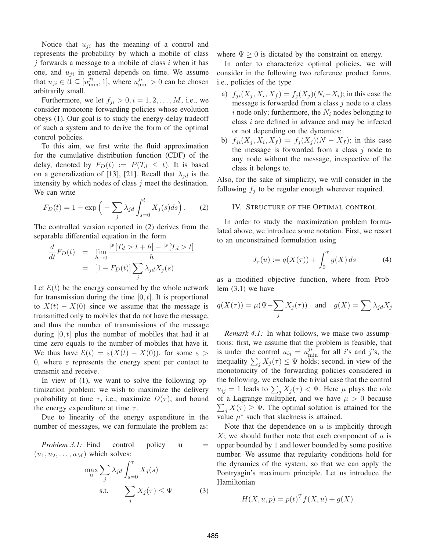Notice that  $u_{ji}$  has the meaning of a control and represents the probability by which a mobile of class  $j$  forwards a message to a mobile of class i when it has one, and  $u_{ji}$  in general depends on time. We assume that  $u_{ji} \in \mathcal{U} \subseteq [u_{\min}^{ji}, 1]$ , where  $u_{\min}^{ji} > 0$  can be chosen arbitrarily small.

Furthermore, we let  $f_{ji} > 0, i = 1, 2, \ldots, M$ , i.e., we consider monotone forwarding policies whose evolution obeys (1). Our goal is to study the energy-delay tradeoff of such a system and to derive the form of the optimal control policies.

To this aim, we first write the fluid approximation for the cumulative distribution function (CDF) of the delay, denoted by  $F_D(t) := P(T_d \leq t)$ . It is based on a generalization of [13], [21]. Recall that  $\lambda_{id}$  is the intensity by which nodes of class  $j$  meet the destination. We can write

$$
F_D(t) = 1 - \exp\left(-\sum_j \lambda_{jd} \int_{s=0}^t X_j(s)ds\right). \tag{2}
$$

The controlled version reported in (2) derives from the separable differential equation in the form

$$
\frac{d}{dt}F_D(t) = \lim_{h \to 0} \frac{\mathbb{P}[T_d > t + h] - \mathbb{P}[T_d > t]}{h}
$$

$$
= [1 - F_D(t)] \sum_j \lambda_{jd} X_j(s)
$$

Let  $\mathcal{E}(t)$  be the energy consumed by the whole network for transmission during the time  $[0, t]$ . It is proportional to  $X(t) - X(0)$  since we assume that the message is transmitted only to mobiles that do not have the message, and thus the number of transmissions of the message during  $[0, t]$  plus the number of mobiles that had it at time zero equals to the number of mobiles that have it. We thus have  $\mathcal{E}(t) = \varepsilon(X(t) - X(0))$ , for some  $\varepsilon >$ 0, where  $\varepsilon$  represents the energy spent per contact to transmit and receive.

In view of (1), we want to solve the following optimization problem: we wish to maximize the delivery probability at time  $\tau$ , i.e., maximize  $D(\tau)$ , and bound the energy expenditure at time  $\tau$ .

Due to linearity of the energy expenditure in the number of messages, we can formulate the problem as:

*Problem 3.1:* Find control policy **u** =  $(u_1, u_2, \ldots, u_M)$  which solves:

$$
\max_{\mathbf{u}} \sum_{j} \lambda_{jd} \int_{s=0}^{\tau} X_j(s)
$$
  
s.t. 
$$
\sum_{j} X_j(\tau) \leq \Psi
$$
 (3)

where  $\Psi \geq 0$  is dictated by the constraint on energy.

In order to characterize optimal policies, we will consider in the following two reference product forms, i.e., policies of the type

- a)  $f_{ji}(X_j, X_i, X_f) = f_j(X_j)(N_i X_i)$ ; in this case the message is forwarded from a class  $j$  node to a class i node only; furthermore, the  $N_i$  nodes belonging to class  $i$  are defined in advance and may be infected or not depending on the dynamics;
- b)  $f_{ji}(X_j, X_i, X_f) = f_j(X_j)(N X_f)$ ; in this case the message is forwarded from a class  $j$  node to any node without the message, irrespective of the class it belongs to.

Also, for the sake of simplicity, we will consider in the following  $f_j$  to be regular enough wherever required.

#### IV. STRUCTURE OF THE OPTIMAL CONTROL

In order to study the maximization problem formulated above, we introduce some notation. First, we resort to an unconstrained formulation using

$$
J_{\tau}(u) := q(X(\tau)) + \int_0^{\tau} g(X) \, ds \tag{4}
$$

as a modified objective function, where from Problem (3.1) we have

$$
q(X(\tau)) = \mu(\Psi - \sum_j X_j(\tau))
$$
 and  $g(X) = \sum \lambda_{jd} X_j$ 

*Remark 4.1:* In what follows, we make two assumptions: first, we assume that the problem is feasible, that is under the control  $u_{ij} = u_{\min}^{ji}$  for all *i*'s and *j*'s, the inequality  $\sum_j X_j(\tau) \leq \Psi$  holds; second, in view of the monotonicity of the forwarding policies considered in the following, we exclude the trivial case that the control  $u_{ij} = 1$  leads to  $\sum_j X_j(\tau) < \Psi$ . Here  $\mu$  plays the role of a Lagrange multiplier, and we have  $\mu > 0$  because  $\sum_j X(\tau) \geq \Psi$ . The optimal solution is attained for the value  $\mu^*$  such that slackness is attained.

Note that the dependence on  $u$  is implicitly through  $X$ ; we should further note that each component of  $u$  is upper bounded by 1 and lower bounded by some positive number. We assume that regularity conditions hold for the dynamics of the system, so that we can apply the Pontryagin's maximum principle. Let us introduce the Hamiltonian

$$
H(X, u, p) = p(t)^T f(X, u) + g(X)
$$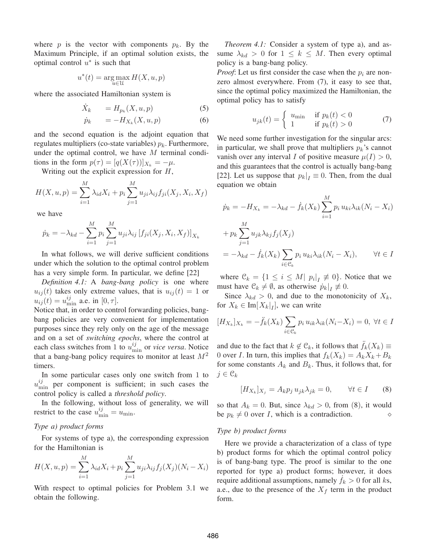where p is the vector with components  $p_k$ . By the Maximum Principle, if an optimal solution exists, the optimal control  $u^*$  is such that

$$
u^*(t) = \underset{u \in \mathcal{U}}{\arg \max} H(X, u, p)
$$

where the associated Hamiltonian system is

$$
\dot{X}_k = H_{p_k}(X, u, p) \tag{5}
$$

$$
\dot{p}_k = -H_{X_k}(X, u, p) \tag{6}
$$

and the second equation is the adjoint equation that regulates multipliers (co-state variables)  $p_k$ . Furthermore, under the optimal control, we have  $M$  terminal conditions in the form  $p(\tau)=[q(X(\tau))]_{X_k}=-\mu$ .

Writing out the explicit expression for  $H$ ,

$$
H(X, u, p) = \sum_{i=1}^{M} \lambda_{id} X_i + p_i \sum_{j=1}^{M} u_{ji} \lambda_{ij} f_{ji}(X_j, X_i, X_f)
$$

we have

$$
\dot{p}_k = -\lambda_{kd} - \sum_{i=1}^{M} p_i \sum_{j=1}^{M} u_{ji} \lambda_{ij} [f_{ji}(X_j, X_i, X_f)]_{X_k}
$$

In what follows, we will derive sufficient conditions under which the solution to the optimal control problem has a very simple form. In particular, we define [22]

*Definition 4.1:* A *bang-bang policy* is one where  $u_{ij}(t)$  takes only extreme values, that is  $u_{ij}(t)=1$  or  $u_{ij}(t) = u_{\min}^{ij}$  a.e. in [0,  $\tau$ ].

Notice that, in order to control forwarding policies, bangbang policies are very convenient for implementation purposes since they rely only on the age of the message and on a set of *switching epochs*, where the control at each class switches from 1 to  $u_{\min}^{ij}$  or *vice versa*. Notice that a bang-bang policy requires to monitor at least  $M^2$ timers.

In some particular cases only one switch from 1 to  $u_{\min}^{ij}$  per component is sufficient; in such cases the control policy is called a *threshold policy*.

In the following, without loss of generality, we will restrict to the case  $u_{\min}^{ij} = u_{\min}$ .

#### *Type a) product forms*

For systems of type a), the corresponding expression for the Hamiltonian is

$$
H(X, u, p) = \sum_{i=1}^{M} \lambda_{id} X_i + p_i \sum_{j=1}^{M} u_{ji} \lambda_{ij} f_j(X_j) (N_i - X_i)
$$

With respect to optimal policies for Problem 3.1 we obtain the following.

*Theorem 4.1:* Consider a system of type a), and assume  $\lambda_{kd} > 0$  for  $1 \leq k \leq M$ . Then every optimal policy is a bang-bang policy.

*Proof*: Let us first consider the case when the  $p_i$  are nonzero almost everywhere. From (7), it easy to see that, since the optimal policy maximized the Hamiltonian, the optimal policy has to satisfy

$$
u_{jk}(t) = \begin{cases} u_{\min} & \text{if } p_k(t) < 0\\ 1 & \text{if } p_k(t) > 0 \end{cases}
$$
 (7)

We need some further investigation for the singular arcs: in particular, we shall prove that multipliers  $p_k$ 's cannot vanish over any interval I of positive measure  $\mu(I) > 0$ , and this guarantees that the control is actually bang-bang [22]. Let us suppose that  $p_k|_I \equiv 0$ . Then, from the dual equation we obtain

$$
\dot{p}_k = -H_{X_k} = -\lambda_{kd} - \dot{f}_k(X_k) \sum_{i=1}^M p_i u_{ki} \lambda_{ik}(N_i - X_i)
$$

$$
+ p_k \sum_{j=1}^M u_{jk} \lambda_{kj} f_j(X_j)
$$

$$
= -\lambda_{kd} - \dot{f}_k(X_k) \sum_{i \in \mathcal{C}_k} p_i u_{ki} \lambda_{ik}(N_i - X_i), \qquad \forall t \in I
$$

where  $\mathcal{C}_k = \{1 \le i \le M | p_i|_I \neq 0\}$ . Notice that we must have  $\mathcal{C}_k \neq \emptyset$ , as otherwise  $\dot{p}_k|_I \not\equiv 0$ .

Since  $\lambda_{kd} > 0$ , and due to the monotonicity of  $X_k$ , for  $X_k \in \text{Im}[X_k|_I]$ , we can write

$$
[H_{X_k}]_{X_k} = -\ddot{f}_k(X_k) \sum_{i \in \mathcal{C}_k} p_i u_{ik} \lambda_{ik}(N_i - X_i) = 0, \ \forall t \in I
$$

and due to the fact that  $k \notin \mathcal{C}_k$ , it follows that  $\tilde{f}_k(X_k) \equiv$ 0 over *I*. In turn, this implies that  $f_k(X_k) = A_k X_k + B_k$ for some constants  $A_k$  and  $B_k$ . Thus, it follows that, for  $j \in \mathfrak{C}_k$ 

$$
[H_{X_k}]_{X_j} = A_k p_j u_{jk} \lambda_{jk} = 0, \qquad \forall t \in I \qquad (8)
$$

so that  $A_k = 0$ . But, since  $\lambda_{kd} > 0$ , from (8), it would be  $p_k \neq 0$  over *I*, which is a contradiction.  $\diamond$ 

#### *Type b) product forms*

Here we provide a characterization of a class of type b) product forms for which the optimal control policy is of bang-bang type. The proof is similar to the one reported for type a) product forms; however, it does require additional assumptions, namely  $f_k > 0$  for all ks, a.e., due to the presence of the  $X_f$  term in the product form.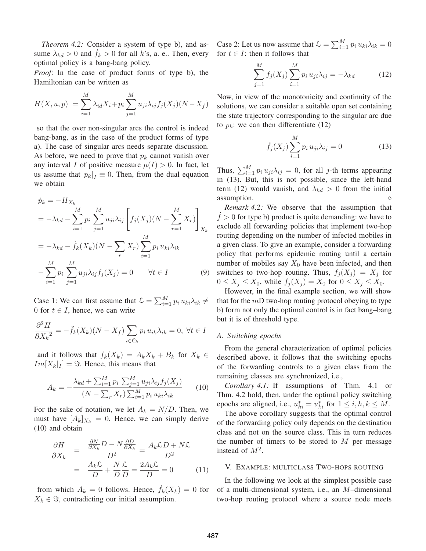*Theorem 4.2:* Consider a system of type b), and assume  $\lambda_{kd} > 0$  and  $f_k > 0$  for all k's, a. e.. Then, every optimal policy is a bang-bang policy.

*Proof*: In the case of product forms of type b), the Hamiltonian can be written as

$$
H(X, u, p) = \sum_{i=1}^{M} \lambda_{id} X_i + p_i \sum_{j=1}^{M} u_{ji} \lambda_{ij} f_j(X_j) (N - X_f)
$$

so that the over non-singular arcs the control is indeed bang-bang, as in the case of the product forms of type a). The case of singular arcs needs separate discussion. As before, we need to prove that  $p_k$  cannot vanish over any interval I of positive measure  $\mu(I) > 0$ . In fact, let us assume that  $p_k|_I \equiv 0$ . Then, from the dual equation we obtain

$$
\dot{p}_k = -H_{X_k} \n= -\lambda_{kd} - \sum_{i=1}^M p_i \sum_{j=1}^M u_{ji} \lambda_{ij} \left[ f_j(X_j)(N - \sum_{r=1}^M X_r) \right]_{X_k} \n= -\lambda_{kd} - \dot{f}_k(X_k)(N - \sum_r X_r) \sum_{i=1}^M p_i u_{ki} \lambda_{ik} \n- \sum_{i=1}^M p_i \sum_{j=1}^M u_{ji} \lambda_{ij} f_j(X_j) = 0 \quad \forall t \in I
$$
\n(9)

Case 1: We can first assume that  $\mathcal{L} = \sum_{i=1}^{M} p_i u_{ki} \lambda_{ik} \neq$ 0 for  $t \in I$ , hence, we can write

$$
\frac{\partial^2 H}{\partial X_k^2} = -\ddot{f}_k(X_k)(N - X_f) \sum_{i \in \mathcal{C}_k} p_i u_{ik} \lambda_{ik} = 0, \ \forall t \in I
$$

and it follows that  $f_k(X_k) = A_k X_k + B_k$  for  $X_k \in$  $Im[X_k]_I$  =  $\Im$ . Hence, this means that

$$
A_k = -\frac{\lambda_{kd} + \sum_{i=1}^{M} p_i \sum_{j=1}^{M} u_{ji} \lambda_{ij} f_j(X_j)}{(N - \sum_r X_r) \sum_{i=1}^{M} p_i u_{ki} \lambda_{ik}}
$$
(10)

For the sake of notation, we let  $A_k = N/D$ . Then, we must have  $[A_k]_{X_k} = 0$ . Hence, we can simply derive (10) and obtain

$$
\frac{\partial H}{\partial X_k} = \frac{\frac{\partial N}{\partial X_k} D - N \frac{\partial D}{\partial X_k}}{D^2} = \frac{A_k \mathcal{L} D + N \mathcal{L}}{D^2}
$$

$$
= \frac{A_k \mathcal{L}}{D} + \frac{N \mathcal{L}}{D} = \frac{2A_k \mathcal{L}}{D} = 0 \qquad (11)
$$

from which  $A_k = 0$  follows. Hence,  $\dot{f}_k(X_k) = 0$  for  $X_k \in \Im$ , contradicting our initial assumption.

Case 2: Let us now assume that  $\mathcal{L} = \sum_{i=1}^{M} p_i u_{ki} \lambda_{ik} = 0$ for  $t \in I$ : then it follows that

$$
\sum_{j=1}^{M} f_j(X_j) \sum_{i=1}^{M} p_i u_{ji} \lambda_{ij} = -\lambda_{kd} \tag{12}
$$

Now, in view of the monotonicity and continuity of the solutions, we can consider a suitable open set containing the state trajectory corresponding to the singular arc due to  $p_k$ : we can then differentiate (12)

$$
\dot{f}_j(X_j) \sum_{i=1}^M p_i u_{ji} \lambda_{ij} = 0
$$
\n(13)

Thus,  $\sum_{i=1}^{M} p_i u_{ji} \lambda_{ij} = 0$ , for all *j*-th terms appearing in (13). But, this is not possible, since the left-hand term (12) would vanish, and  $\lambda_{kd} > 0$  from the initial assumption.

*Remark 4.2:* We observe that the assumption that  $\dot{f} > 0$  for type b) product is quite demanding: we have to exclude all forwarding policies that implement two-hop routing depending on the number of infected mobiles in a given class. To give an example, consider a forwarding policy that performs epidemic routing until a certain number of mobiles say  $X_0$  have been infected, and then switches to two-hop routing. Thus,  $f_i(X_i) = X_i$  for  $0 \le X_j \le X_0$ , while  $f_j(X_j) = X_0$  for  $0 \le X_j \le X_0$ .

However, in the final example section, we will show that for the  $mD$  two-hop routing protocol obeying to type b) form not only the optimal control is in fact bang–bang but it is of threshold type.

#### *A. Switching epochs*

From the general characterization of optimal policies described above, it follows that the switching epochs of the forwarding controls to a given class from the remaining classes are synchronized, i.e.,

*Corollary 4.1:* If assumptions of Thm. 4.1 or Thm. 4.2 hold, then, under the optimal policy switching epochs are aligned, i.e.,  $u_{hi}^* = u_{ki}^*$  for  $1 \le i, h, k \le M$ .

The above corollary suggests that the optimal control of the forwarding policy only depends on the destination class and not on the source class. This in turn reduces the number of timers to be stored to  $M$  per message instead of  $M^2$ .

#### V. EXAMPLE: MULTICLASS TWO-HOPS ROUTING

In the following we look at the simplest possible case of a multi-dimensional system, i.e., an M–dimensional two-hop routing protocol where a source node meets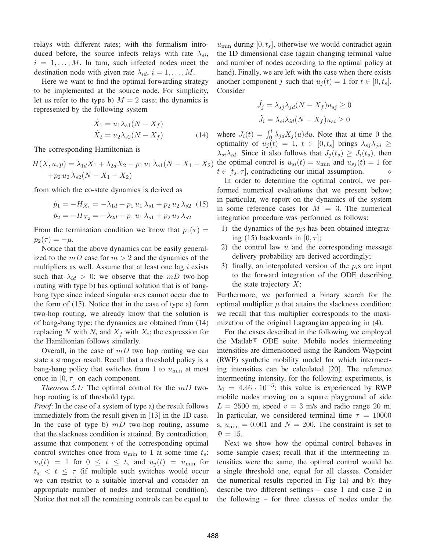relays with different rates; with the formalism introduced before, the source infects relays with rate  $\lambda_{si}$ ,  $i = 1, \ldots, M$ . In turn, such infected nodes meet the destination node with given rate  $\lambda_{id}$ ,  $i = 1, \ldots, M$ .

Here we want to find the optimal forwarding strategy to be implemented at the source node. For simplicity, let us refer to the type b)  $M = 2$  case; the dynamics is represented by the following system

$$
\dot{X}_1 = u_1 \lambda_{s1} (N - X_f) \n\dot{X}_2 = u_2 \lambda_{s2} (N - X_f)
$$
\n(14)

The corresponding Hamiltonian is

$$
H(X, u, p) = \lambda_{1d}X_1 + \lambda_{2d}X_2 + p_1 u_1 \lambda_{s1}(N - X_1 - X_2)
$$
  
+ $p_2 u_2 \lambda_{s2}(N - X_1 - X_2)$ 

from which the co-state dynamics is derived as

$$
\dot{p}_1 = -H_{X_1} = -\lambda_{1d} + p_1 u_1 \lambda_{s1} + p_2 u_2 \lambda_{s2} \quad (15)
$$

$$
\dot{p}_2 = -H_{X_2} = -\lambda_{2d} + p_1 u_1 \lambda_{s1} + p_2 u_2 \lambda_{s2}
$$

From the termination condition we know that  $p_1(\tau) =$  $p_2(\tau) = -\mu.$ 

Notice that the above dynamics can be easily generalized to the  $mD$  case for  $m > 2$  and the dynamics of the multipliers as well. Assume that at least one lag  $i$  exists such that  $\lambda_{id} > 0$ : we observe that the mD two-hop routing with type b) has optimal solution that is of bangbang type since indeed singular arcs cannot occur due to the form of (15). Notice that in the case of type a) form two-hop routing, we already know that the solution is of bang-bang type; the dynamics are obtained from (14) replacing N with  $N_i$  and  $X_f$  with  $X_i$ ; the expression for the Hamiltonian follows similarly.

Overall, in the case of  $mD$  two hop routing we can state a stronger result. Recall that a threshold policy is a bang-bang policy that switches from 1 to  $u_{\min}$  at most once in  $[0, \tau]$  on each component.

*Theorem 5.1:* The optimal control for the  $mD$  twohop routing is of threshold type.

*Proof*: In the case of a system of type a) the result follows immediately from the result given in [13] in the 1D case. In the case of type b)  $mD$  two-hop routing, assume that the slackness condition is attained. By contradiction, assume that component  $i$  of the corresponding optimal control switches once from  $u_{\text{min}}$  to 1 at some time  $t_s$ :  $u_i(t) = 1$  for  $0 \le t \le t_s$  and  $u_i(t) = u_{\text{min}}$  for  $t_s < t \leq \tau$  (if multiple such switches would occur we can restrict to a suitable interval and consider an appropriate number of nodes and terminal condition). Notice that not all the remaining controls can be equal to  $u_{\text{min}}$  during  $[0, t_s]$ , otherwise we would contradict again the 1D dimensional case (again changing terminal value and number of nodes according to the optimal policy at hand). Finally, we are left with the case when there exists another component j such that  $u_i(t)=1$  for  $t \in [0, t_s]$ . Consider

$$
\ddot{J}_j = \lambda_{sj} \lambda_{jd} (N - X_f) u_{sj} \ge 0
$$
  

$$
\ddot{J}_i = \lambda_{si} \lambda_{id} (N - X_f) u_{si} \ge 0
$$

where  $J_i(t) = \int_0^t \lambda_{jd} X_j(u) du$ . Note that at time 0 the optimality of  $u_j(t)=1, t \in [0, t_s]$  brings  $\lambda_{sj}\lambda_{jd} \ge$  $\lambda_{si}\lambda_{id}$ . Since it also follows that  $J_i(t_s) \geq J_i(t_s)$ , then the optimal control is  $u_{si}(t) = u_{\text{min}}$  and  $u_{sj}(t) = 1$  for  $t \in [t_s, \tau]$ , contradicting our initial assumption.

In order to determine the optimal control, we performed numerical evaluations that we present below; in particular, we report on the dynamics of the system in some reference cases for  $M = 3$ . The numerical integration procedure was performed as follows:

- 1) the dynamics of the  $p_i$ s has been obtained integrating (15) backwards in  $[0, \tau]$ ;
- 2) the control law  $u$  and the corresponding message delivery probability are derived accordingly;
- 3) finally, an interpolated version of the  $p_i$ s are input to the forward integration of the ODE describing the state trajectory  $X$ ;

Furthermore, we performed a binary search for the optimal multiplier  $\mu$  that attains the slackness condition: we recall that this multiplier corresponds to the maximization of the original Lagrangian appearing in (4).

For the cases described in the following we employed the Matlab® ODE suite. Mobile nodes intermeeting intensities are dimensioned using the Random Waypoint (RWP) synthetic mobility model for which intermeeting intensities can be calculated [20]. The reference intermeeting intensity, for the following experiments, is  $\lambda_0 = 4.46 \cdot 10^{-5}$ ; this value is experienced by RWP mobile nodes moving on a square playground of side  $L = 2500$  m, speed  $v = 3$  m/s and radio range 20 m. In particular, we considered terminal time  $\tau = 10000$ s,  $u_{\text{min}} = 0.001$  and  $N = 200$ . The constraint is set to  $\Psi = 15$ .

Next we show how the optimal control behaves in some sample cases; recall that if the intermeeting intensities were the same, the optimal control would be a single threshold one, equal for all classes. Consider the numerical results reported in Fig 1a) and b): they describe two different settings – case 1 and case 2 in the following – for three classes of nodes under the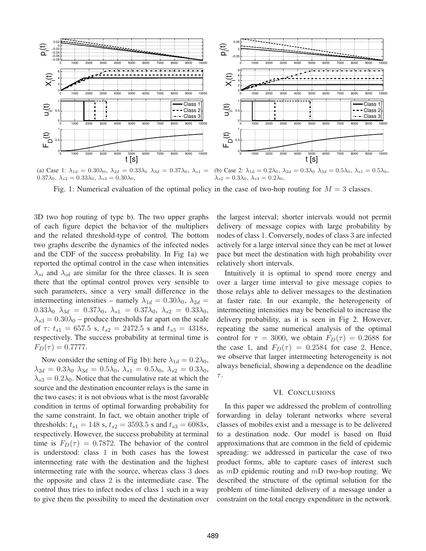

(a) Case 1:  $\lambda_{1d} = 0.30\lambda_0$ ,  $\lambda_{2d} = 0.33\lambda_0$   $\lambda_{3d} = 0.37\lambda_0$ ,  $\lambda_{s1} =$  $0.37\lambda_0, \lambda_{s2} = 0.33\lambda_0, \lambda_{s3} = 0.30\lambda_0,$ (b) Case 2:  $\lambda_{1d} = 0.2\lambda_0$ ,  $\lambda_{2d} = 0.3\lambda_0$   $\lambda_{3d} = 0.5\lambda_0$ ,  $\lambda_{s1} = 0.5\lambda_0$ ,  $\lambda_{s2} = 0.3\lambda_0, \lambda_{s3} = 0.2\lambda_0,$ 

Fig. 1: Numerical evaluation of the optimal policy in the case of two-hop routing for  $M = 3$  classes.

3D two hop routing of type b). The two upper graphs of each figure depict the behavior of the multipliers and the related threshold-type of control. The bottom two graphs describe the dynamics of the infected nodes and the CDF of the success probability. In Fig 1a) we reported the optimal control in the case when intensities  $\lambda_{si}$  and  $\lambda_{id}$  are similar for the three classes. It is seen there that the optimal control proves very sensible to such parameters, since a very small difference in the intermeeting intensities – namely  $\lambda_{1d} = 0.30\lambda_0$ ,  $\lambda_{2d} =$  $0.33\lambda_0$   $\lambda_{3d} = 0.37\lambda_0$ ,  $\lambda_{s1} = 0.37\lambda_0$ ,  $\lambda_{s2} = 0.33\lambda_0$ ,  $\lambda_{s3} = 0.30\lambda_0$  – produce thresholds far apart on the scale of  $\tau$ :  $t_{s1} = 657.5$  s,  $t_{s2} = 2472.5$  s and  $t_{s3} = 4318s$ , respectively. The success probability at terminal time is  $F_D(\tau) = 0.7777.$ 

Now consider the setting of Fig 1b): here  $\lambda_{1d} = 0.2\lambda_0$ ,  $\lambda_{2d} = 0.3\lambda_0 \lambda_{3d} = 0.5\lambda_0, \lambda_{s1} = 0.5\lambda_0, \lambda_{s2} = 0.3\lambda_0,$  $\lambda_{s3} = 0.2\lambda_0$ . Notice that the cumulative rate at which the source and the destination encounter relays is the same in the two cases: it is not obvious what is the most favorable condition in terms of optimal forwarding probability for the same constraint. In fact, we obtain another triple of thresholds:  $t_{s1} = 148$  s,  $t_{s2} = 3593.5$  s and  $t_{s3} = 6083s$ , respectively. However, the success probability at terminal time is  $F_D(\tau) = 0.7872$ . The behavior of the control is understood: class 1 in both cases has the lowest intermeeting rate with the destination and the highest intermeeting rate with the source, whereas class 3 does the opposite and class 2 is the intermediate case. The control thus tries to infect nodes of class 1 such in a way to give them the possibility to meed the destination over the largest interval; shorter intervals would not permit delivery of message copies with large probability by nodes of class 1. Conversely, nodes of class 3 are infected actively for a large interval since they can be met at lower pace but meet the destination with high probability over relatively short intervals.

Intuitively it is optimal to spend more energy and over a larger time interval to give message copies to those relays able to deliver messages to the destination at faster rate. In our example, the heterogeneity of intermeeting intensities may be beneficial to increase the delivery probability, as it is seen in Fig 2. However, repeating the same numerical analysis of the optimal control for  $\tau = 3000$ , we obtain  $F_D(\tau) = 0.2688$  for the case 1, and  $F_D(\tau) = 0.2584$  for case 2. Hence, we observe that larger intermeeting heterogeneity is not always beneficial, showing a dependence on the deadline  $\tau.$ 

#### VI. CONCLUSIONS

In this paper we addressed the problem of controlling forwarding in delay tolerant networks where several classes of mobiles exist and a message is to be delivered to a destination node. Our model is based on fluid approximations that are common in the field of epidemic spreading: we addressed in particular the case of two product forms, able to capture cases of interest such as  $mD$  epidemic routing and  $mD$  two-hop routing. We described the structure of the optimal solution for the problem of time-limited delivery of a message under a constraint on the total energy expenditure in the network.